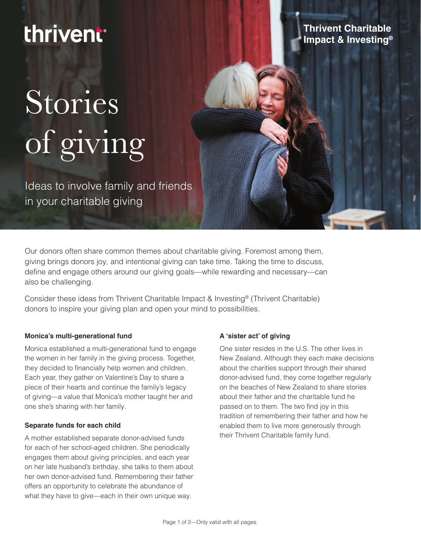# thrivent®

### **Thrivent Charitable Impact & Investing®**

# Stories of giving

Ideas to involve family and friends in your charitable giving

Our donors often share common themes about charitable giving. Foremost among them, giving brings donors joy, and intentional giving can take time. Taking the time to discuss, define and engage others around our giving goals—while rewarding and necessary—can also be challenging.

Consider these ideas from Thrivent Charitable Impact & Investing® (Thrivent Charitable) donors to inspire your giving plan and open your mind to possibilities.

#### **Monica's multi-generational fund**

Monica established a multi-generational fund to engage the women in her family in the giving process. Together, they decided to financially help women and children. Each year, they gather on Valentine's Day to share a piece of their hearts and continue the family's legacy of giving—a value that Monica's mother taught her and one she's sharing with her family.

#### **Separate funds for each child**

A mother established separate donor-advised funds for each of her school-aged children. She periodically engages them about giving principles, and each year on her late husband's birthday, she talks to them about her own donor-advised fund. Remembering their father offers an opportunity to celebrate the abundance of what they have to give—each in their own unique way.

#### **A 'sister act' of giving**

One sister resides in the U.S. The other lives in New Zealand. Although they each make decisions about the charities support through their shared donor-advised fund, they come together regularly on the beaches of New Zealand to share stories about their father and the charitable fund he passed on to them. The two find joy in this tradition of remembering their father and how he enabled them to live more generously through their Thrivent Charitable family fund.